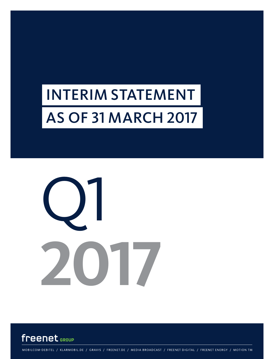# INTERIM STATEMENT AS OF 31 MARCH 2017





MOBILCOM-DEBITEL / KLARMOBIL.DE / GRAVIS / FREENET.DE / MEDIA BROADCAST / FREENET DIGITAL / FREENET ENERGY / MOTION TM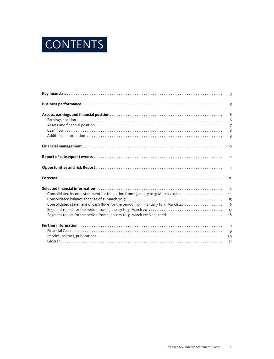

|                                                                                                                | $\overline{3}$  |
|----------------------------------------------------------------------------------------------------------------|-----------------|
| Business performance www.communications.com/www.communications.com/www.communications.com                      | 5               |
|                                                                                                                | 6               |
|                                                                                                                | 6               |
|                                                                                                                | $\overline{7}$  |
|                                                                                                                | 8               |
|                                                                                                                | 9               |
|                                                                                                                | 10 <sup>°</sup> |
|                                                                                                                | 11              |
|                                                                                                                | 11              |
|                                                                                                                | 12              |
| Selected financial information (1000) (1000) (1000) (1000) (1000) (1000) (1000) (1000) (1000) (1000) (1000) (1 | 14              |
| Consolidated income statement for the period from 1 January to 31 March 2017                                   | 14              |
|                                                                                                                | 15              |
| Consolidated statement of cash flows for the period from 1 January to 31 March 2017                            | 16              |
|                                                                                                                | 17              |
| Segment report for the period from 1 January to 31 March 2016 adjusted'                                        | 18              |
|                                                                                                                | 19              |
|                                                                                                                | 19              |
|                                                                                                                | 20              |
|                                                                                                                | 21              |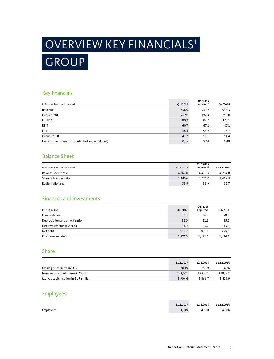# GROUP OVERVIEW KEY FINANCIALS1

## Key financials

| In EUR million / as indicated                     | Q1/2017 | Q1/2016<br>adjusted <sup>2</sup> | Q4/2016 |
|---------------------------------------------------|---------|----------------------------------|---------|
| Revenue                                           | 838.0   | 749.2                            | 938.3   |
| Gross profit                                      | 227.0   | 192.3                            | 253.0   |
| EBITDA                                            | 100.9   | 89.2                             | 127.1   |
| EBIT                                              | 60.7    | 67.2                             | 87.1    |
| EBT                                               | 48.4    | 55.2                             | 73.7    |
| Group result                                      | 41.7    | 51.1                             | 54.4    |
| Earnings per share in EUR (diluted and undiluted) | 0.35    | 0.40                             | 0.48    |

## Balance Sheet

| In EUR million / as indicated | 31.3.2017 | 31.3.2016<br>adiusted <sup>2</sup> | 31.12.2016 |
|-------------------------------|-----------|------------------------------------|------------|
| Balance sheet total           | 4.262.0   | 4.473.3                            | 4,284.8    |
| Shareholders' equity          | 1.445.6   | 1.426.7                            | 1.402.3    |
| Equity ratio in %             | 33.9      | 31.9                               | 32.7       |

## Finances and investments

| In EUR million                | Q1/2017 | Q1/2016<br>adjusted <sup>2</sup> | Q4/2016 |
|-------------------------------|---------|----------------------------------|---------|
| Free cash flow                | 56.4    | 66.4                             | 78.8    |
| Depreciation and amortisation | 35.0    | 21.8                             | 35.0    |
| Net investments (CAPEX)       | 21.9    | 7.0                              | 13.9    |
| Net debt                      | 596.9   | 805.0                            | 725.8   |
| Pro forma net debt            | 1.377.0 | 1.411.3                          | 1,416.0 |

### Share

|                                      | 31.3.2017 | 31.3.2016 | 31.12.2016 |
|--------------------------------------|-----------|-----------|------------|
| Closing price Xetra in EUR           | 30.49     | 26.29     | 26.76      |
| Number of issued shares in '000s     | 128,061   | 128.061   | 128.061    |
| Market capitalisation in EUR million | 3.904.6   | 3.366.7   | 3.426.9    |

## Employees

|           | 31.3.2017 | .2016<br>21 | 2016<br>21 |
|-----------|-----------|-------------|------------|
| Employees | 4,249     | 990         | 886        |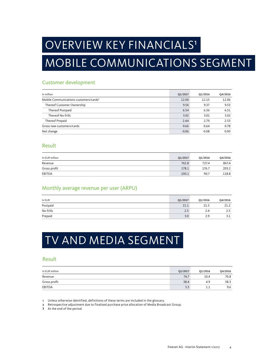# OVERVIEW KEY FINANCIALS<sup>1</sup>

# MOBILE COMMUNICATIONS SEGMENT

### Customer development

| In million                                         | Q1/2017 | Q1/2016 | Q4/2016 |
|----------------------------------------------------|---------|---------|---------|
| Mobile Communications customers/cards <sup>3</sup> | 12.00   | 12.15   | 12.06   |
| Thereof Customer Ownership                         | 9.56    | 9.37    | 9.53    |
| Thereof Postpaid                                   | 6.54    | 6.36    | 6.51    |
| Thereof No-frills                                  | 3.02    | 3.01    | 3.02    |
| Thereof Prepaid                                    | 2.44    | 2.79    | 2.53    |
| Gross new customers/cards                          | 0.66    | 0.64    | 0.78    |
| Net change                                         | $-0.06$ | $-0.08$ | 0.00    |

### Result

| In EUR million | Q1/2017 | Q1/2016 | Q4/2016 |
|----------------|---------|---------|---------|
| Revenue        | 762.8   | 727.4   | 867.4   |
| Gross profit   | 178.1   | 176.7   | 203.2   |
| EBITDA         | 100.1   | 90.7    | 118.8   |

### Monthly average revenue per user (ARPU)

| In EUR    | Q1/2017 | Q1/2016 | Q4/2016 |
|-----------|---------|---------|---------|
| Postpaid  | 21.1    | 21.5    | 21.2    |
| No-frills | 2.5     | 2.4     | 2.5     |
| Prepaid   | 3.0     | 2.9     | 3.1     |

# TV AND MEDIA SEGMENT

### Result

| In EUR million | Q1/2017 | Q1/2016 | Q4/2016 |
|----------------|---------|---------|---------|
| Revenue        | 74.7    | 10.4    | 70.8    |
| Gross profit   | 38.4    | 4.9     | 38.3    |
| EBITDA         | 3.3     | ᆂᆠ      | 9.6     |

1 Unless otherwise identified, definitions of these terms are included in the glossary.

2 Retrospective adjustment due to finalised purchase price allocation of Media Broadcast Group.

3 At the end of the period.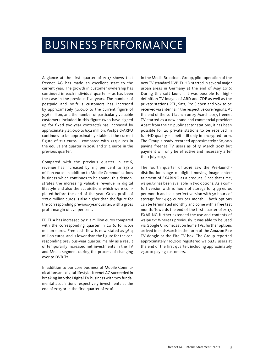# BUSINESS PERFORMANCE

A glance at the first quarter of 2017 shows that freenet AG has made an excellent start to the current year. The growth in customer ownership has continued in each individual quarter – as has been the case in the previous five years. The number of postpaid and no-frills customers has increased by approximately 30,000 to the current figure of 9.56 million, and the number of particularly valuable customers included in this figure (who have signed up for fixed two-year contracts) has increased by approximately 25,000 to 6.54 million. Postpaid-ARPU continues to be approximately stable at the current figure of 21.1 euros – compared with 21.5 euros in the equivalent quarter in 2016 and 21.2 euros in the previous quarter.

Compared with the previous quarter in 2016, revenue has increased by 11.9 per cent to 838.0 million euros; in addition to Mobile Communications business which continues to be sound, this demonstrates the increasing valuable revenue in digital lifestyle and also the acquisitions which were completed before the end of the year. Gross profit of 227.0 million euros is also higher than the figure for the corresponding previous-year quarter, with a gross profit margin of 27.1 per cent.

EBITDA has increased by 11.7 million euros compared with the corresponding quarter in 2016, to 100.9 million euros. Free cash flow is now stated as 56.4 million euros, and is lower than the figure for the corresponding previous-year quarter, mainly as a result of temporarily increased net investments in the TV and Media segment during the process of changing over to DVB-T2.

In addition to our core business of Mobile Communications and digital lifestyle, freenet AG succeeded in breaking into the Digital TV business with two fundamental acquisitions respectively investments at the end of 2015 or in the first quarter of 2016.

In the Media Broadcast Group, pilot operation of the new TV standard DVB-T2 HD started in several major urban areas in Germany at the end of May 2016: During this soft launch, it was possible for highdefinition TV images of ARD and ZDF as well as the private stations RTL, Sati, Pro Sieben and Vox to be received via antenna in the respective core regions. At the end of the soft launch on 29 March 2017, freenet TV started as a new brand and commercial provider: Apart from the 20 public sector stations, it has been possible for 20 private stations to be received in full-HD quality – albeit still only in encrypted form. The Group already recorded approximately 160,000 paying freenet TV users as of 31 March 2017 but payment will only be effective and necessary after the 1 July 2017.

The fourth quarter of 2016 saw the Pre-launchdistribution stage of digital moving image entertainment of EXARING as a product. Since that time, waipu.tv has been available in two options: As a comfort version with 10 hours of storage for 4.99 euros per month and as a perfect version with 50 hours of storage for 14.99 euros per month – both options can be terminated monthly and come with a free test month. Towards the end of the first quarter of 2017, EXARING further extended the use and contents of waipu.tv: Whereas previously it was able to be used via Google Chromecast on home TVs, further options arrived in mid-March in the form of the Amazon Fire TV dongle or the Fire TV box. The Group reported approximately 150,000 registered waipu.tv users at the end of the first quarter, including approximately 25,000 paying customers.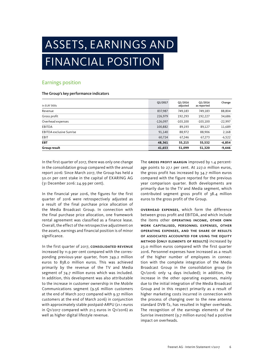# ASSETS, EARNINGS AND FINANCIAL POSITION

### Earnings position

#### The Group's key performance indicators

| In EUR '000s                    | Q1/2017    | Q1/2016<br>adjusted | Q1/2016<br>as reported | Change    |
|---------------------------------|------------|---------------------|------------------------|-----------|
| Revenue                         | 837,987    | 749,183             | 749,183                | 88,804    |
| Gross profit                    | 226,979    | 192,293             | 192,227                | 34,686    |
| Overhead expenses               | $-126,097$ | $-103,100$          | $-103,100$             | $-22,997$ |
| EBITDA                          | 100,882    | 89,193              | 89,127                 | 11,689    |
| <b>EBITDA</b> exclusive Sunrise | 91,140     | 88,972              | 88,906                 | 2,168     |
| EBIT                            | 60,724     | 67,246              | 67,273                 | $-6,522$  |
| <b>EBT</b>                      | 48,361     | 55,215              | 55,532                 | $-6,854$  |
| Group result                    | 41,653     | 51,099              | 51,320                 | $-9,446$  |

In the first quarter of 2017, there was only one change in the consolidation group compared with the annual report 2016: Since March 2017, the Group has held a 50.01 per cent stake in the capital of EXARING AG (31 December 2016: 24.99 per cent).

In the financial year 2016, the figures for the first quarter of 2016 were retrospectively adjusted as a result of the final purchase price allocation of the Media Broadcast Group. In connection with the final purchase price allocation, one framework rental agreement was classified as a finance lease. Overall, the effect of the retrospective adjustment on the assets, earnings and financial position is of minor significance.

In the first quarter of 2017, CONSOLIDATED REVENUE increased by 11.9 per cent compared with the corresponding previous-year quarter, from 749.2 million euros to 838.0 million euros. This was achieved primarily by the revenue of the TV and Media segment of 74.7 million euros which was included. In addition, this development was also attributable to the increase in customer ownership in the Mobile Communications segment (9.56 million customers at the end of March 2017 compared with 9.37 million customers at the end of March 2016) in conjunction with approximately stable postpaid-ARPU (21.1 euros in Q1/2017 compared with 21.5 euros in Q1/2016) as well as higher digital lifestyle revenue.

The GROSS PROFIT MARGIN improved by 1.4 percentage points to 27.1 per cent. At 227.0 million euros, the gross profit has increased by 34.7 million euros compared with the figure reported for the previous year comparison quarter. Both developments are primarily due to the TV and Media segment, which contributed segment gross profit of 38.4 million euros to the gross profit of the Group.

Overhead expenses, which form the difference between gross profit and EBITDA, and which include the items other operating income, other own work capitalised, personnel expenses, other operating expenses, and the share of results of associates accounted for using the equity method (only elements of results) increased by 23.0 million euros compared with the first quarter 2016. Personnel expenses have increased as a result of the higher number of employees in connection with the complete integration of the Media Broadcast Group in the consolidation group (in Q1/2016: only 14 days included); in addition, the increase in the other operating expenses, mainly due to the initial integration of the Media Broadcast Group and in this respect primarily as a result of higher marketing costs incurred in connection with the process of changing over to the new antenna standard DVB-T2, has resulted in higher overheads. The recognition of the earnings elements of the Sunrise investment (9.7 million euros) had a positive impact on overheads.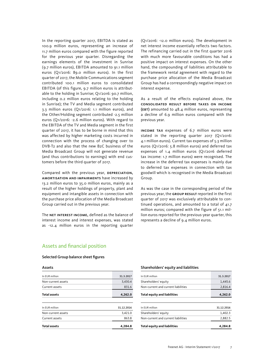In the reporting quarter 2017, EBITDA is stated as 100.9 million euros, representing an increase of 11.7 million euros compared with the figure reported for the previous year quarter. Disregarding the earnings elements of the investment in Sunrise (9.7 million euros), EBITDA amounted to 91.1 million euros (Q1/2016: 89.0 million euros). In the first quarter of 2017, the Mobile Communications segment contributed 100.1 million euros to consolidated EBITDA (of this figure, 9.7 million euros is attributable to the holding in Sunrise; Q1/2016: 90.7 million, including 0.2 million euros relating to the holding in Sunrise); the TV and Media segment contributed 3.3 million euros (Q1/2016: 1.1 million euros), and the Other/Holding segment contributed -2.5 million euros (Q1/2016: -2.6 million euros). With regard to the EBITDA of the TV and Media segment in the first quarter of 2017, it has to be borne in mind that this was affected by higher marketing costs incurred in connection with the process of changing over to DVB-T2 and also that the new B2C business of the Media Broadcast Group will not generate revenue (and thus contributions to earnings) with end customers before the third quarter of 2017.

Compared with the previous year, DEPRECIATION, amortisation and impairments have increased by 13.2 million euros to 35.0 million euros, mainly as a result of the higher holdings of property, plant and equipment and intangible assets in connection with the purchase price allocation of the Media Broadcast Group carried out in the previous year.

The NET INTEREST INCOME, defined as the balance of interest income and interest expenses, was stated as -12.4 million euros in the reporting quarter (Q1/2016: -12.0 million euros). The development in net interest income essentially reflects two factors. The refinancing carried out in the first quarter 2016 with much more favourable conditions has had a positive impact on interest expenses. On the other hand, the compounding of liabilities attributable to the framework rental agreement with regard to the purchase price allocation of the Media Broadcast Group has had a correspondingly negative impact on interest expense.

As a result of the effects explained above, the consolidated result before taxes on income (EBT) amounted to 48.4 million euros, representing a decline of 6.9 million euros compared with the previous year.

Income tax expenses of 6.7 million euros were stated in the reporting quarter 2017 (Q1/2016: 4.1 million euros). Current tax expenses of 5.3 million euros (Q1/2016: 5.8 million euros) and deferred tax expenses of 1.4 million euros (Q1/2016 deferred tax income: 1.7 million euros) were recognised. The increase in the deferred tax expenses is mainly due to deferred tax expenses in connection with tax goodwill which is recognised in the Media Broadcast Group.

As was the case in the corresponding period of the previous year, the GROUP RESULT reported in the first quarter of 2017 was exclusively attributable to continued operations, and amounted to a total of 41.7 million euros; compared with the figure of 51.1 million euros reported for the previous-year quarter, this represents a decline of 9.4 million euros.

### Assets and financial position

#### Selected Group balance sheet figures

Assets

| ีครระเร             |            |
|---------------------|------------|
| In EUR million      | 31.3.2017  |
| Non-current assets  | 3,430.4    |
| Current assets      | 831.6      |
| <b>Total assets</b> | 4,262.0    |
|                     |            |
| In EUR million      | 31.12.2016 |
| Non-current assets  | 3,421.0    |
| Current assets      | 863.8      |
| <b>Total assets</b> | 4,284.8    |
|                     |            |

#### Shareholders' equity and liabilities

| In FUR million                      | 31.3.2017  |
|-------------------------------------|------------|
| Shareholders' equity                | 1.445.6    |
| Non-current and current liabilities | 2,816.4    |
| <b>Total equity and liabilities</b> | 4,262.0    |
|                                     |            |
| In EUR million                      | 31.12.2016 |
| Shareholders' equity                | 1,402.3    |
| Non-current and current liabilities | 2.882.5    |
| <b>Total equity and liabilities</b> | 4.284.8    |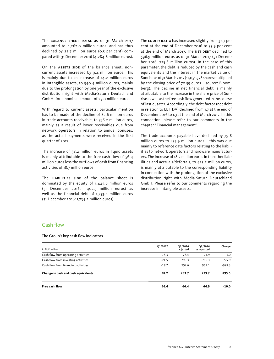The **BALANCE SHEET TOTAL** as of 31 March 2017 amounted to 4,262.0 million euros, and has thus declined by 22.7 million euros (0.5 per cent) compared with 31 December 2016 (4,284.8 million euros).

On the **ASSETS SIDE** of the balance sheet, noncurrent assets increased by 9.4 million euros. This is mainly due to an increase of 14.2 million euros in intangible assets, to 540.4 million euros, mainly due to the prolongation by one year of the exclusive distribution right with Media-Saturn Deutschland GmbH, for a nominal amount of 25.0 million euros.

With regard to current assets, particular mention has to be made of the decline of 82.6 million euros in trade accounts receivable, to 356.2 million euros, mainly as a result of lower receivables due from network operators in relation to annual bonuses, as the actual payments were received in the first quarter of 2017.

The increase of 38.2 million euros in liquid assets is mainly attributable to the free cash flow of 56.4 million euros less the outflows of cash from financing activities of 18.7 million euros.

The LIABILITIES SIDE of the balance sheet is dominated by the equity of 1,445.6 million euros (31 December 2016: 1,402.3 million euros) as well as the financial debt of 1,733.4 million euros (31 December 2016: 1,734.2 million euros).

The **EQUITY RATIO** has increased slightly from 32.7 per cent at the end of December 2016 to 33.9 per cent at the end of March 2017. The NET DEBT declined to 596.9 million euros as of 31 March 2017 (31 December 2016: 725.8 million euros). In the case of this parameter, the debt is reduced by the cash and cash equivalents and the interest in the market value of Sunrise as of 31 March 2017 (11,051,578 shares multiplied by the closing price of 70.59 euros – source: Bloomberg). The decline in net financial debt is mainly attributable to the increase in the share price of Sunrise as well as the free cash flow generated in the course of last quarter. Accordingly, the debt factor (net debt in relation to EBITDA) declined from 1.7 at the end of December 2016 to 1.3 at the end of March 2017. In this connection, please refer to our comments in the chapter "Financial management".

The trade accounts payable have declined by 79.8 million euros to 435.9 million euros – this was due mainly to reference date factors relating to the liabilities to network operators and hardware manufacturers. The increase of 18.2 million euros in the other liabilities and accruals/deferrals, to 423.2 million euros, is mainly attributable to the corresponding liability in connection with the prolongation of the exclusive distribution right with Media-Saturn Deutschland GmbH. Please refer to our comments regarding the increase in intangible assets.

### Cash flow

#### The Group's key cash flow indicators

| In EUR million                      | Q1/2017 | Q1/2016<br>adjusted | Q1/2016<br>as reported | Change   |
|-------------------------------------|---------|---------------------|------------------------|----------|
| Cash flow from operating activities | 78.3    | 73.4                | 71.9                   | 5.0      |
| Cash flow from investing activities | $-21.5$ | $-799.3$            | $-799.3$               | 777.9    |
| Cash flow from financing activities | $-18.7$ | 959.6               | 961.1                  | $-978.3$ |
| Change in cash and cash equivalents | 38.2    | 233.7               | 233.7                  | $-195.5$ |
| Free cash flow                      | 56.4    | 66.4                | 64.9                   | $-10.0$  |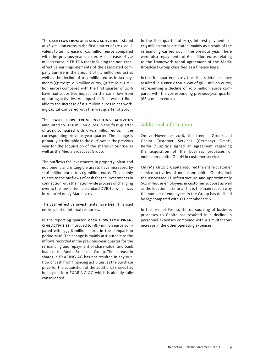The cash flow from operating activities is stated as 78.3 million euros in the first quarter of 2017, equivalent to an increase of 5.0 million euros compared with the previous-year quarter. An increase of 2.2 million euros in EBITDA (not including the non-casheffective earnings elements of the associated company Sunrise in the amount of 9.7 million euros) as well as the decline of 10.7 million euros in tax payments (Q1/2017: -0.6 million euros, Q1/2016: -11.3 million euros) compared with the first quarter of 2016 have had a positive impact on the cash flow from operating activities. An opposite effect was attributable to the increase of 8.2 million euros in net working capital compared with the first quarter of 2016.

The cash flow from investing activities amounted to -21.5 million euros in the first quarter of 2017, compared with -799.3 million euros in the corresponding previous-year quarter. The change is primarily attributable to the outflows in the previous year for the acquisition of the shares in Sunrise as well as the Media Broadcast Group.

The outflows for investments in property, plant and equipment and intangible assets have increased by 14.6 million euros to 21.9 million euros. This mainly relates to the outflows of cash for the investments in connection with the nation-wide process of changing over to the new antenna standard DVB-T2, which was introduced on 29 March 2017.

The cash-effective investments have been financed entirely out of internal resources.

In the reporting quarter, CASH FLOW FROM FINANcing activities improved to -18.7 million euros compared with 959.6 million euros in the comparison period 2016. The change is mainly attributable to the inflows recorded in the previous-year quarter for the refinancing and repayment of shareholder and bank loans of the Media Broadcast Group. The increase in shares in EXARING AG has not resulted in any outflow of cash from financing activities, as the purchase price for the acquisition of the additional shares has been paid into EXARING AG which is already fully consolidated.

In the first quarter of 2017, interest payments of 12.5 million euros are stated, mainly as a result of the refinancing carried out in the previous year. There were also repayments of 6.1 million euros relating to the framework rental agreement of the Media Broadcast Group classified as a finance lease.

In the first quarter of 2017, the effects detailed above resulted in a FREE CASH FLOW of 56.4 million euros, representing a decline of 10.0 million euros compared with the corresponding previous-year quarter (66.4 million euros).

### Additional information

On 21 November 2016, the freenet Group and Capita Customer Services (Germany) GmbH, Berlin ("Capita") signed an agreement regarding the acquisition of the business processes of mobilcom-debitel GmbH in customer service.

On 1 March 2017, Capita acquired the entire customer service activities of mobilcom-debitel GmbH, incl. the associated IT infrastructure and approximately 650 in-house employees in customer support as well as the location in Erfurt. This is the main reason why the number of employees in the Group has declined by 637 compared with 31 December 2016.

In the freenet Group, the outsourcing of business processes to Capita has resulted in a decline in personnel expenses combined with a simultaneous increase in the other operating expenses.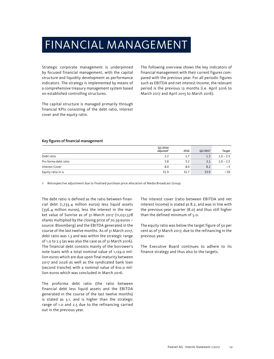# FINANCIAL MANAGEMENT

Strategic corporate management is underpinned by focused financial management, with the capital structure and liquidity development as performance indicators. The strategy is implemented by means of a comprehensive treasury management system based on established controlling structures.

The capital structure is managed primarily through financial KPIs consisting of the debt ratio, interest cover and the equity ratio.

The following overview shows the key indicators of financial management with their current figures compared with the previous year. For all periodic figures such as EBITDA and net interest income, the relevant period is the previous 12 months (i.e. April 2016 to March 2017 and April 2015 to March 2016).

#### Key figures of financial management

|                      | Q1/2016<br>adjusted <sup>1</sup> | 2016 | Q1/2017 | Target      |
|----------------------|----------------------------------|------|---------|-------------|
| Debt ratio           | 2.2                              | 1.7  | 1.3     | $1.0 - 2.5$ |
| Pro forma debt ratio | 3.8                              | 3.2  | 3.1     | $1.0 - 2.5$ |
| Interest Cover       | 8.0                              | 8.0  | 8.2     | > 5         |
| Equity ratio in %    | 31.9                             | 32.7 | 33.9    | > 50        |

1 Retrospective adjustment due to finalised purchase price allocation of Media Broadcast Group.

The debt ratio is defined as the ratio between financial debt (1,733.4 million euros) less liquid assets (356.4 million euros), less the interest in the market value of Sunrise as of 31 March 2017 (11,051,578 shares multiplied by the closing price of 70.59 euros – source: Bloomberg) and the EBITDA generated in the course of the last twelve months. As of 31 March 2017, debt ratio was 1.3 and was within the strategic range of 1.0 to 2.5 (as was also the case as of 31 March 2016). The financial debt consists mainly of the borrower's note loans with a total nominal value of 1,129.0 million euros which are due upon final maturity between 2017 and 2026 as well as the syndicated bank loan (second tranche) with a nominal value of 610.0 million euros which was concluded in March 2016.

The proforma debt ratio (the ratio between financial debt less liquid assets and the EBITDA generated in the course of the last twelve months) is stated as 3.1, and is higher than the strategic range of 1.0 and 2.5 due to the refinancing carried out in the previous year.

The interest cover (ratio between EBITDA and net interest income) is stated as 8.2, and was in line with the previous-year quarter (8.0) and thus still higher than the defined minimum of 5.0.

The equity ratio was below the target figure of 50 per cent as of 31 March 2017, due to the refinancing in the previous year.

The Executive Board continues to adhere to its finance strategy and thus also to the targets.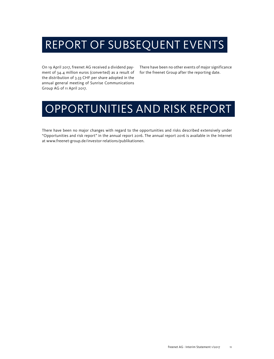# REPORT OF SUBSEQUENT EVENTS

On 19 April 2017, freenet AG received a dividend payment of 34.4 million euros (converted) as a result of the distribution of 3.33 CHF per share adopted in the annual general meeting of Sunrise Communications Group AG of 11 April 2017.

There have been no other events of major significance for the freenet Group after the reporting date.

# OPPORTUNITIES AND RISK REPORT

There have been no major changes with regard to the opportunities and risks described extensively under "Opportunities and risk report" in the annual report 2016. The annual report 2016 is available in the Internet at www.freenet-group.de/investor-relations/publikationen.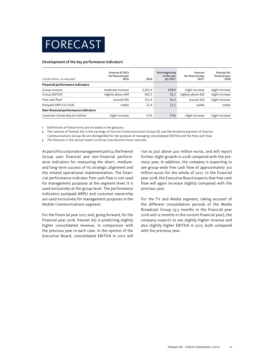# FORECAST

#### Development of the key performance indicators<sup>1</sup>

| In EUR million / as indicated           | Forecast of 2015<br>for financial year<br>2016 | 2016    | Since beginning<br>of the year<br>Q1/2017 | Forecast<br>for financial year<br>2017 <sup>3</sup> | <b>Forecast for</b><br>financial year<br>2018 |
|-----------------------------------------|------------------------------------------------|---------|-------------------------------------------|-----------------------------------------------------|-----------------------------------------------|
| <b>Financial performance indicators</b> |                                                |         |                                           |                                                     |                                               |
| Group revenue                           | moderate increase                              | 3,362.4 | 838.0                                     | slight increase                                     | slight increase                               |
| Group EBITDA <sup>2</sup>               | slightly above 400                             | 402.3   | 91.1                                      | slightly above 410                                  | slight increase                               |
| Free cash flow <sup>2</sup>             | around 300                                     | 311.4   | 56.4                                      | around 310                                          | slight increase                               |
| Postpaid ARPU (in EUR)                  | stable                                         | 21.4    | 21.1                                      | stable                                              | stable                                        |
| Non-financial performance indicators    |                                                |         |                                           |                                                     |                                               |
| Customer-Ownership (in million)         | slight increase                                | 9.53    | 9.56                                      | slight increase                                     | slight increase                               |

1 Definitions of these terms are included in the glossary.

2 The interest of freenet AG in the earnings of Sunrise Communications Group AG and the dividend payment of Sunrise

Communications Group AG are disregarded for the purpose of managing consolidated EBITDA and the free cash flow.

3 The forecast in the annual report 2016 has now become more concrete.

As part of its corporate management policy, the freenet Group uses financial and non-financial performance indicators for measuring the short-, mediumand long-term success of its strategic alignment and the related operational implementation. The financial performance indicator free cash flow is not used for management purposes at the segment level; it is used exclusively at the group level. The performance indicators postpaid-ARPU and customer ownership are used exclusively for management purposes in the Mobile Communications segment.

For the financial year 2017 and, going forward, for the financial year 2018, freenet AG is predicting slightly higher consolidated revenue, in comparison with the previous year in each case. In the opinion of the Executive Board, consolidated EBITDA in 2017 will

rise to just above 410 million euros, and will report further slight growth in 2018 compared with the previous year. In addition, the company is expecting to see group-wide free cash flow of approximately 310 million euros for the whole of 2017. In the financial year 2018, the Executive Board expects that free cash flow will again increase slightly compared with the previous year.

For the TV and Media segment, taking account of the different consolidation periods of the Media Broadcast Group (9.5 months in the financial year 2016 and 12 months in the current financial year), the company expects to see slightly higher revenue and also slightly higher EBITDA in 2017, both compared with the previous year.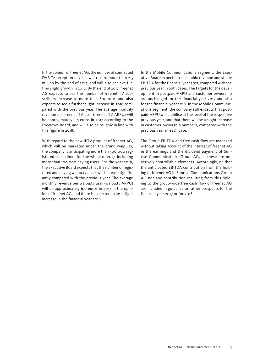In the opinion of freenet AG, the number of connected DVB-T2 reception devices will rise to more than 2.5 million by the end of 2017, and will also achieve further slight growth in 2018. By the end of 2017, freenet AG expects to see the number of freenet TV subscribers increase to more than 800,000, and also expects to see a further slight increase in 2018 compared with the previous year. The average monthly revenue per freenet TV user (freenet TV ARPU) will be approximately 4.5 euros in 2017 according to the Executive Board, and will also be roughly in line with this figure in 2018.

With regard to the new IPTV product of freenet AG, which will be marketed under the brand waipu.tv, the company is anticipating more than 500,000 registered subscribers for the whole of 2017, including more than 100,000 paying users. For the year 2018, the Executive Board expects that the number of registered and paying waipu.tv users will increase significantly compared with the previous year. The average monthly revenue per waipu.tv user (waipu.tv ARPU) will be approximately 6.0 euros in 2017 in the opinion of freenet AG, and there is expected to be a slight increase in the financial year 2018.

In the Mobile Communications segment, the Executive Board expects to see stable revenue and stable EBITDA for the financial year 2017, compared with the previous year in both cases. The targets for the development in postpaid-ARPU and customer ownership are unchanged for the financial year 2017 and also for the financial year 2018. In the Mobile Communications segment, the company still expects that postpaid-ARPU will stabilise at the level of the respective previous year, and that there will be a slight increase in customer-ownership numbers, compared with the previous year in each case.

The Group EBITDA and free cash flow are managed without taking account of the interest of freenet AG in the earnings and the dividend payment of Sunrise Communications Group AG, as these are not actively controllable elements. Accordingly, neither the anticipated EBITDA contribution from the holding of freenet AG in Sunrise Communications Group AG nor any contribution resulting from this holding to the group-wide free cash flow of freenet AG are included in guidance or rather prospects for the financial year 2017 or for 2018.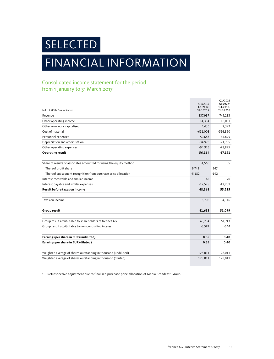**SELECTED** 

# FINANCIAL INFORMATION

## Consolidated income statement for the period from 1 January to 31 March 2017

|                                                                      | Q1/2017                | 01/2016<br>adjusted <sup>1</sup> |
|----------------------------------------------------------------------|------------------------|----------------------------------|
| In EUR '000s / as indicated                                          | 1.1.2017-<br>31.3.2017 | 1.1.2016-<br>31.3.2016           |
| Revenue                                                              | 837,987                | 749,183                          |
| Other operating income                                               | 14,334                 | 18.031                           |
| Other own work capitalised                                           | 4,436                  | 2,392                            |
| Cost of material                                                     | $-611,008$             | $-556,890$                       |
| Personnel expenses                                                   | $-59,683$              | $-44,875$                        |
| Depreciation and amortisation                                        | $-34,976$              | $-21,755$                        |
| Other operating expenses                                             | $-94,926$              | $-78,895$                        |
| <b>Operating result</b>                                              | 56,164                 | 67,191                           |
|                                                                      |                        |                                  |
| Share of results of associates accounted for using the equity method | 4,560                  | 55                               |
| Thereof profit share                                                 | 9.742                  | 247                              |
| Thereof subsequent recognition from purchase price allocation        | $-5,182$               | $-192$                           |
| Interest receivable and similar income                               | 165                    | 170                              |
| Interest payable and similar expenses                                | $-12,528$              | $-12,201$                        |
| Result before taxes on income                                        | 48,361                 | 55,215                           |
|                                                                      |                        |                                  |
| Taxes on income                                                      | $-6,708$               | $-4,116$                         |
|                                                                      |                        |                                  |
| Group result                                                         | 41,653                 | 51,099                           |
|                                                                      |                        |                                  |
| Group result attributable to shareholders of freenet AG              | 45,234                 | 51,743                           |
| Group result attributable to non-controlling interest                | $-3,581$               | $-644$                           |
| Earnings per share in EUR (undiluted)                                | 0.35                   | 0.40                             |
| Earnings per share in EUR (diluted)                                  | 0.35                   | 0.40                             |
|                                                                      |                        |                                  |
| Weighted average of shares outstanding in thousand (undiluted)       | 128,011                | 128,011                          |
| Weighted average of shares outstanding in thousand (diluted)         | 128,011                | 128,011                          |
|                                                                      |                        |                                  |

1 Retrospective adjustment due to finalised purchase price allocation of Media Broadcast Group.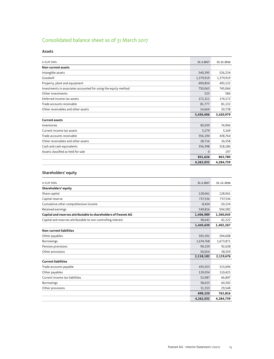# Consolidated balance sheet as of 31 March 2017

| In EUR '000s                                                    | 31.3.2017 | 31.12.2016 |
|-----------------------------------------------------------------|-----------|------------|
| Non-current assets                                              |           |            |
| Intangible assets                                               | 540,395   | 526,234    |
| Goodwill                                                        | 1,379,919 | 1,379,919  |
| Property, plant and equipment                                   | 490,854   | 493,132    |
| Investments in associates accounted for using the equity method | 750,063   | 745,066    |
| Other investments                                               | 523       | 586        |
| Deferred income tax assets                                      | 172,211   | 174,172    |
| Trade accounts receivable                                       | 81,777    | 81,132     |
| Other receivables and other assets                              | 14,664    | 20,738     |
|                                                                 | 3,430,406 | 3,420,979  |
| <b>Current assets</b>                                           |           |            |
| Inventories                                                     | 85,039    | 74,906     |
| Current income tax assets                                       | 5,279     | 5,169      |
| Trade accounts receivable                                       | 356,194   | 438,764    |
| Other receivables and other assets                              | 28,716    | 26,558     |
| Cash and cash equivalents                                       | 356,398   | 318,186    |
| Assets classified as held for sale                              | $\Omega$  | 197        |
|                                                                 | 831,626   | 863,780    |
|                                                                 | 4,262,032 | 4,284,759  |

#### Shareholders' equity

| In EUR '000s                                                    | 31.3.2017 | 31.12.2016 |
|-----------------------------------------------------------------|-----------|------------|
| Shareholders' equity                                            |           |            |
| Share capital                                                   | 128,061   | 128,061    |
| Capital reserve                                                 | 737,536   | 737,536    |
| Cumulative other comprehensive income                           | $-8,424$  | $-10,134$  |
| Retained earnings                                               | 549,816   | 504,582    |
| Capital and reserves attributable to shareholders of freenet AG | 1,406,989 | 1,360,045  |
| Capital and reserves attributable to non-controlling interest   | 38,641    | 42,222     |
|                                                                 | 1,445,630 | 1,402,267  |
| <b>Non-current liabilities</b>                                  |           |            |
| Other payables                                                  | 303,201   | 294,608    |
| <b>Borrowings</b>                                               | 1,674,768 | 1,673,871  |
| Pension provisions                                              | 90,159    | 92,638     |
| Other provisions                                                | 50,054    | 58,559     |
|                                                                 | 2,118,182 | 2,119,676  |
| <b>Current liabilities</b>                                      |           |            |
| Trade accounts payable                                          | 435,923   | 515,696    |
| Other payables                                                  | 120,034   | 110,423    |
| Current income tax liabilities                                  | 52,087    | 46,847     |
| Borrowings                                                      | 58,623    | 60,302     |
| Other provisions                                                | 31,553    | 29,548     |
|                                                                 | 698,220   | 762,816    |
|                                                                 | 4,262,032 | 4,284,759  |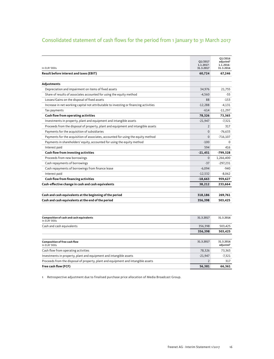## Consolidated statement of cash flows for the period from 1 January to 31 March 2017

| In EUR '000s                                                                          | Q1/2017<br>1.1.2017-<br>31.3.2017 | Q1/2016<br>adjusted <sup>1</sup><br>1.1.2016-<br>31.3.2016 |
|---------------------------------------------------------------------------------------|-----------------------------------|------------------------------------------------------------|
| Result before interest and taxes (EBIT)                                               | 60,724                            | 67,246                                                     |
|                                                                                       |                                   |                                                            |
| Adjustments                                                                           |                                   |                                                            |
| Depreciation and impairment on items of fixed assets                                  | 34,976                            | 21,755                                                     |
| Share of results of associates accounted for using the equity method                  | $-4,560$                          | -55                                                        |
| Losses/Gains on the disposal of fixed assets                                          | 88                                | $-153$                                                     |
| Increase in net working capital not attributable to investing or financing activities | $-12,288$                         | $-4,131$                                                   |
| Tax payments                                                                          | $-614$                            | $-11,297$                                                  |
| Cash flow from operating activities                                                   | 78,326                            | 73,365                                                     |
| Investments in property, plant and equipment and intangible assets                    | $-21,947$                         | $-7,321$                                                   |
| Proceeds from the disposal of property, plant and equipment and intangible assets     | $\overline{2}$                    | 317                                                        |
| Payments for the acquisition of subsidiaries                                          | $\mathbf 0$                       | $-76,633$                                                  |
| Payments for the acquisition of associates, accounted for using the equity method     | $\Omega$                          | $-716,107$                                                 |
| Payments in shareholders' equity, accounted for using the equity method               | $-100$                            | $\Omega$                                                   |
| Interest paid                                                                         | 594                               | 416                                                        |
| Cash flow from investing activities                                                   | $-21,451$                         | $-799,328$                                                 |
| Proceeds from new borrowings                                                          | $\mathbf{0}$                      | 1,266,400                                                  |
| Cash repayments of borrowings                                                         | $-37$                             | $-297,231$                                                 |
| Cash repayments of borrowings from finance lease                                      | $-6,094$                          | $-940$                                                     |
| Interest paid                                                                         | $-12,532$                         | $-8,062$                                                   |
| Cash flow from financing activities                                                   | $-18,663$                         | 959,627                                                    |
| Cash-effective change in cash and cash equivalents                                    | 38,212                            | 233,664                                                    |
|                                                                                       |                                   |                                                            |
| Cash and cash equivalents at the beginning of the period                              | 318,186                           | 269,761                                                    |
| Cash and cash equivalents at the end of the period                                    | 356,398                           | 503,425                                                    |
|                                                                                       |                                   |                                                            |
| Composition of cash and cash equivalents<br><b>DIOOO-</b>                             | 31.3.2017                         | 31.3.2016                                                  |

| Composition of cash and cash equivalents<br>In EUR '000s                          | 31.3.2017 | 31.3.2016                          |
|-----------------------------------------------------------------------------------|-----------|------------------------------------|
| Cash and cash equivalents                                                         | 356,398   | 503,425                            |
|                                                                                   | 356,398   | 503,425                            |
|                                                                                   |           |                                    |
| <b>Composition of free cash flow</b><br>In FUR '000s                              | 31.3.2017 | 31.3.2016<br>adjusted <sup>1</sup> |
| Cash flow from operating activities                                               | 78,326    | 73,365                             |
| Investments in property, plant and equipment and intangible assets                | $-21,947$ | $-7.321$                           |
| Proceeds from the disposal of property, plant and equipment and intangible assets |           | 317                                |
| Free cash flow (FCF)                                                              | 56.381    | 66,361                             |

1 Retrospective adjustment due to finalised purchase price allocation of Media Broadcast Group.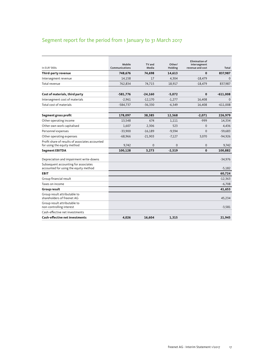# Segment report for the period from 1 January to 31 March 2017

| In EUR '000s                                                                   | Mobile<br>Communications | TV and<br>Media | Other/<br>Holding | <b>Elimination of</b><br>intersegment<br>revenue and cost | Total        |
|--------------------------------------------------------------------------------|--------------------------|-----------------|-------------------|-----------------------------------------------------------|--------------|
| Third-party revenue                                                            | 748,676                  | 74,698          | 14,613            | $\bf{0}$                                                  | 837,987      |
| Intersegment revenue                                                           | 14,158                   | 17              | 4,304             | $-18,479$                                                 | $\mathbf{0}$ |
| Total revenue                                                                  | 762,834                  | 74,715          | 18,917            | $-18,479$                                                 | 837,987      |
| Cost of materials, third party                                                 | $-581,776$               | $-24,160$       | $-5,072$          | $\bf{0}$                                                  | $-611,008$   |
| Intersegment cost of materials                                                 | $-2,961$                 | $-12,170$       | $-1,277$          | 16,408                                                    | $\mathbf{0}$ |
| Total cost of materials                                                        | $-584,737$               | $-36,330$       | $-6,349$          | 16,408                                                    | $-611,008$   |
| Segment gross profit                                                           | 178,097                  | 38,385          | 12,568            | $-2,071$                                                  | 226,979      |
| Other operating income                                                         | 13,548                   | 674             | 1,111             | $-999$                                                    | 14,334       |
| Other own work capitalised                                                     | 1,607                    | 2,306           | 523               | $\mathbf{0}$                                              | 4,436        |
| Personnel expenses                                                             | $-33,900$                | $-16,189$       | $-9,594$          | $\Omega$                                                  | $-59,683$    |
| Other operating expenses                                                       | $-68,966$                | $-21,903$       | $-7,127$          | 3,070                                                     | $-94,926$    |
| Profit share of results of associates accounted<br>for using the equity method | 9,742                    | $\Omega$        | $\Omega$          | $\mathbf{0}$                                              | 9,742        |
| <b>Segment EBITDA</b>                                                          | 100,128                  | 3,273           | $-2,519$          | $\mathbf 0$                                               | 100,882      |
| Depreciation and impairment write-downs                                        |                          |                 |                   |                                                           | $-34,976$    |
| Subsequent accounting for associates<br>accounted for using the equity method  |                          |                 |                   |                                                           | $-5,182$     |
| <b>EBIT</b>                                                                    |                          |                 |                   |                                                           | 60,724       |
| Group financial result                                                         |                          |                 |                   |                                                           | $-12,363$    |
| Taxes on income                                                                |                          |                 |                   |                                                           | $-6,708$     |
| <b>Group result</b>                                                            |                          |                 |                   |                                                           | 41,653       |
| Group result attributable to<br>shareholders of freenet AG                     |                          |                 |                   |                                                           | 45,234       |
| Group result attributable to<br>non-controlling interest                       |                          |                 |                   |                                                           | $-3,581$     |
| Cash-effective net investments                                                 |                          |                 |                   |                                                           |              |
| <b>Cash-effective net investments</b>                                          | 4,026                    | 16,604          | 1,315             |                                                           | 21,945       |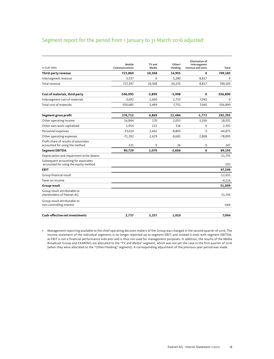### Segment report for the period from 1 January to 31 March 2016 adjusted<sup>1</sup>

| In EUR '000s                                                                  | Mobile<br>Communications | TV and<br>Media | Other/<br>Holding | <b>Elimination of</b><br>intersegment<br>revenue and costs | Total       |
|-------------------------------------------------------------------------------|--------------------------|-----------------|-------------------|------------------------------------------------------------|-------------|
| Third-party revenue                                                           | 723,860                  | 10,368          | 14,955            | 0                                                          | 749,183     |
| Intersegment revenue                                                          | 3,537                    | 0               | 5,280             | $-8,817$                                                   | $\mathbf 0$ |
| Total revenue                                                                 | 727,397                  | 10,368          | 20,235            | $-8,817$                                                   | 749,183     |
| Cost of materials, third party                                                | $-546,993$               | $-3,899$        | $-5,998$          | 0                                                          | $-556,890$  |
| Intersegment cost of materials                                                | $-3,692$                 | $-1,600$        | $-1,753$          | 7,045                                                      | $\mathbf 0$ |
| Total cost of materials                                                       | $-550,685$               | $-5,499$        | $-7,751$          | 7,045                                                      | $-556,890$  |
| Segment gross profit                                                          | 176,712                  | 4,869           | 12,484            | $-1,772$                                                   | 192,293     |
| Other operating income                                                        | 16,844                   | 170             | 2,053             | $-1,036$                                                   | 18,031      |
| Other own work capitalised                                                    | 1,954                    | 122             | 316               | $\mathbf 0$                                                | 2,392       |
| Personnel expenses                                                            | $-33,610$                | $-2,462$        | $-8,803$          | $\Omega$                                                   | $-44,875$   |
| Other operating expenses                                                      | $-71,392$                | $-1,629$        | $-8,682$          | 2,808                                                      | $-78,895$   |
| Profit share of results of associates<br>accounted for using the method       | 221                      | 0               | 26                | $\mathbf 0$                                                | 247         |
| <b>Segment EBITDA</b>                                                         | 90,729                   | 1,070           | $-2,606$          | 0                                                          | 89,193      |
| Depreciation and impairment write-downs                                       |                          |                 |                   |                                                            | $-21,755$   |
| Subsequent accounting for associates<br>accounted for using the equity method |                          |                 |                   |                                                            | $-192$      |
| <b>EBIT</b>                                                                   |                          |                 |                   |                                                            | 67,246      |
| Group financial result                                                        |                          |                 |                   |                                                            | $-12,031$   |
| Taxes on income                                                               |                          |                 |                   |                                                            | $-4,116$    |
| Group result                                                                  |                          |                 |                   |                                                            | 51,099      |
| Group result attributable to<br>shareholders of freenet AG                    |                          |                 |                   |                                                            | 51,743      |
| Group result attributable to<br>non-controlling interest                      |                          |                 |                   |                                                            | -644        |
| <b>Cash-effective net investments</b>                                         | 2,737                    | 3,257           | 1,010             |                                                            | 7.004       |

1 Management reporting available to the chief operating decision makers of the Group was changed in the second quarter of 2016. The income statement of the individual segments is no longer reported up to segment EBIT; and instead it ends with segment EBITDA, as EBIT is not a financial performance indicator and is thus not used for management purposes. In addition, the results of the Media Broadcast Group and EXARING are allocated to the "TV and Media" segment, which was not yet the case in the first quarter of 2016 (when they were allocated to the "Other/Holding" segment). A corresponding adjustment of the previous-year period was made.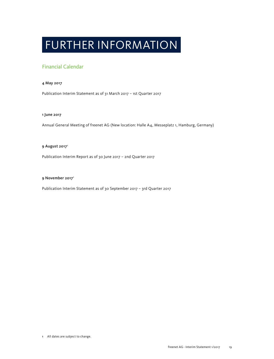# FURTHER INFORMATION

### Financial Calendar

#### 4 May 2017

Publication Interim Statement as of 31 March 2017 – 1st Quarter 2017

#### 1 June 2017

Annual General Meeting of freenet AG (New location: Halle A4, Messeplatz 1, Hamburg, Germany)

#### 9 August 2017<sup>1</sup>

Publication Interim Report as of 30 June 2017 – 2nd Quarter 2017

#### 9 November 20171

Publication Interim Statement as of 30 September 2017 – 3rd Quarter 2017

1 All dates are subject to change.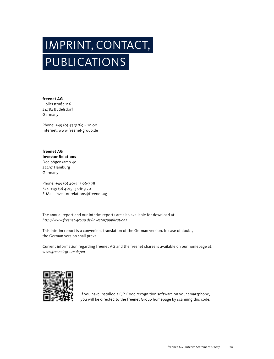# IMPRINT, CONTACT, PUBLICATIONS

**freenet AG** Hollerstraße 126 24782 Büdelsdorf Germany

Phone: +49 (0) 43 31/69 - 10 00 Internet: www.freenet-group.de

**freenet AG Investor Relations** Deelbögenkamp 4c 22297 Hamburg Germany

Phone: +49 (0) 40/5 13 06-7 78 Fax: +49 (0) 40/5 13 06-9 70 E-Mail: investor.relations@freenet.ag

The annual report and our interim reports are also available for download at: *http://www.freenet-group.de/investor/publications*

This interim report is a convenient translation of the German version. In case of doubt, the German version shall prevail.

Current information regarding freenet AG and the freenet shares is available on our homepage at: *www.freenet-group.de/en*



If you have installed a QR-Code recognition software on your smartphone, you will be directed to the freenet Group homepage by scanning this code.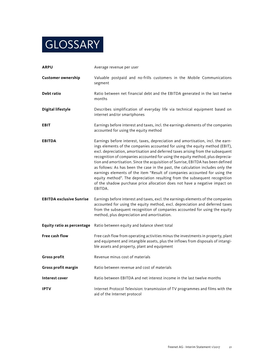# **GLOSSARY**

| <b>ARPU</b>                     | Average revenue per user                                                                                                                                                                                                                                                                                                                                                                                                                                                                                                                                                                                                                                                                                                                                         |
|---------------------------------|------------------------------------------------------------------------------------------------------------------------------------------------------------------------------------------------------------------------------------------------------------------------------------------------------------------------------------------------------------------------------------------------------------------------------------------------------------------------------------------------------------------------------------------------------------------------------------------------------------------------------------------------------------------------------------------------------------------------------------------------------------------|
| <b>Customer ownership</b>       | Valuable postpaid and no-frills customers in the Mobile Communications<br>segment                                                                                                                                                                                                                                                                                                                                                                                                                                                                                                                                                                                                                                                                                |
| Debt ratio                      | Ratio between net financial debt and the EBITDA generated in the last twelve<br>months                                                                                                                                                                                                                                                                                                                                                                                                                                                                                                                                                                                                                                                                           |
| <b>Digital lifestyle</b>        | Describes simplification of everyday life via technical equipment based on<br>internet and/or smartphones                                                                                                                                                                                                                                                                                                                                                                                                                                                                                                                                                                                                                                                        |
| <b>EBIT</b>                     | Earnings before interest and taxes, incl. the earnings elements of the companies<br>accounted for using the equity method                                                                                                                                                                                                                                                                                                                                                                                                                                                                                                                                                                                                                                        |
| <b>EBITDA</b>                   | Earnings before interest, taxes, depreciation and amortisation, incl. the earn-<br>ings elements of the companies accounted for using the equity method (EBIT),<br>excl. depreciation, amortisation and deferred taxes arising from the subsequent<br>recognition of companies accounted for using the equity method, plus deprecia-<br>tion and amortisation. Since the acquisition of Sunrise, EBITDA has been defined<br>as follows: As has been the case in the past, the calculation includes only the<br>earnings elements of the item "Result of companies accounted for using the<br>equity method". The depreciation resulting from the subsequent recognition<br>of the shadow purchase price allocation does not have a negative impact on<br>EBITDA. |
| <b>EBITDA exclusive Sunrise</b> | Earnings before interest and taxes, excl. the earnings elements of the companies<br>accounted for using the equity method, excl. depreciation and deferred taxes<br>from the subsequent recognition of companies accounted for using the equity<br>method, plus depreciation and amortisation.                                                                                                                                                                                                                                                                                                                                                                                                                                                                   |
| Equity ratio as percentage      | Ratio between equity and balance sheet total                                                                                                                                                                                                                                                                                                                                                                                                                                                                                                                                                                                                                                                                                                                     |
| <b>Free cash flow</b>           | Free cash flow from operating activities minus the investments in property, plant<br>and equipment and intangible assets, plus the inflows from disposals of intangi-<br>ble assets and property, plant and equipment                                                                                                                                                                                                                                                                                                                                                                                                                                                                                                                                            |
| <b>Gross profit</b>             | Revenue minus cost of materials                                                                                                                                                                                                                                                                                                                                                                                                                                                                                                                                                                                                                                                                                                                                  |
| Gross profit margin             | Ratio between revenue and cost of materials                                                                                                                                                                                                                                                                                                                                                                                                                                                                                                                                                                                                                                                                                                                      |
| Interest cover                  | Ratio between EBITDA and net interest income in the last twelve months                                                                                                                                                                                                                                                                                                                                                                                                                                                                                                                                                                                                                                                                                           |
| <b>IPTV</b>                     | Internet Protocol Television: transmission of TV programmes and films with the<br>aid of the Internet protocol                                                                                                                                                                                                                                                                                                                                                                                                                                                                                                                                                                                                                                                   |